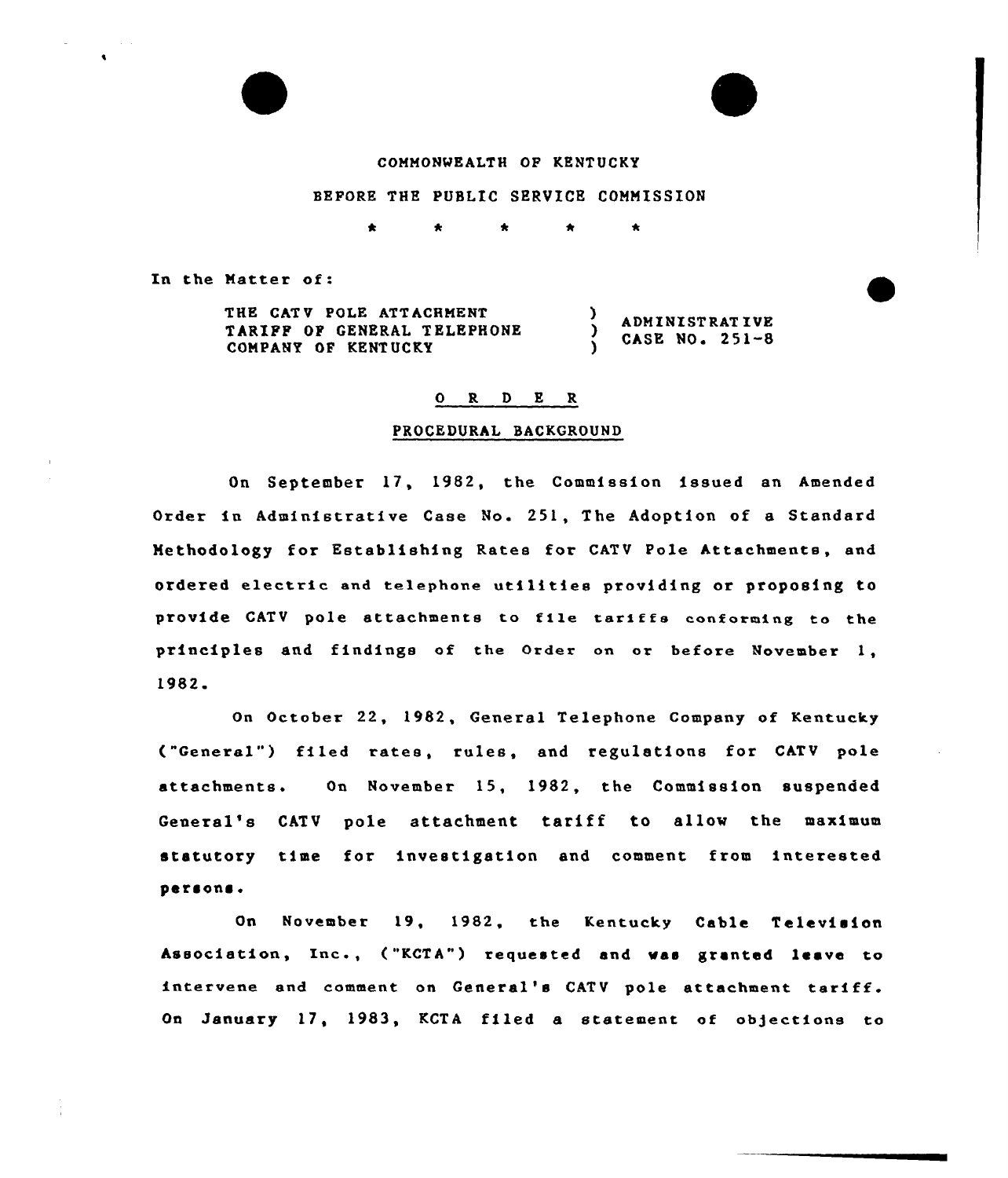## COMMONWEALTH OP KENTUCKY

# BEPORE THE PUBLIC SERVICE COMMISSION

In the Matter of:

THE CATV POLE ATTACHMENT Y ADMINISTRATIVE TARIPF OP GENERAL TELEPHONE <sup>)</sup> CASE NO. 251-8 COMPANY OP KENTUCKY )

## O R D E R

### PROCEDURAL BACKGROUND

On September 17, 1982, the Commission issued an Amended Order in Administrative Case No. 251, The Adoption of a Standard Methodology for Establishing Rates for CATV Pole Attachments, and ordered electric and telephone utilities providing or proposing to provide CATV pole attachments to file tariffs conforming to the principles and findings of the Order on or before November 1, 1982.

On October 22, 1982, General Telephone Company of Kentucky ("General") filed rates, rules, and regulations for CATV pale attachments. On November 15, 1982, the Commission suspended General's CATV pole attachment tariff to allow the maximum statutory time for investigation and comment from interested persons.

On November 19, 1982, the Kentucky Cable Television Association, Inc., ("KCTA") requested and was granted leave to intervene and comment on General's CATV pole attachment tariff. On January 17, 1983, KCTA filed a statement of objections to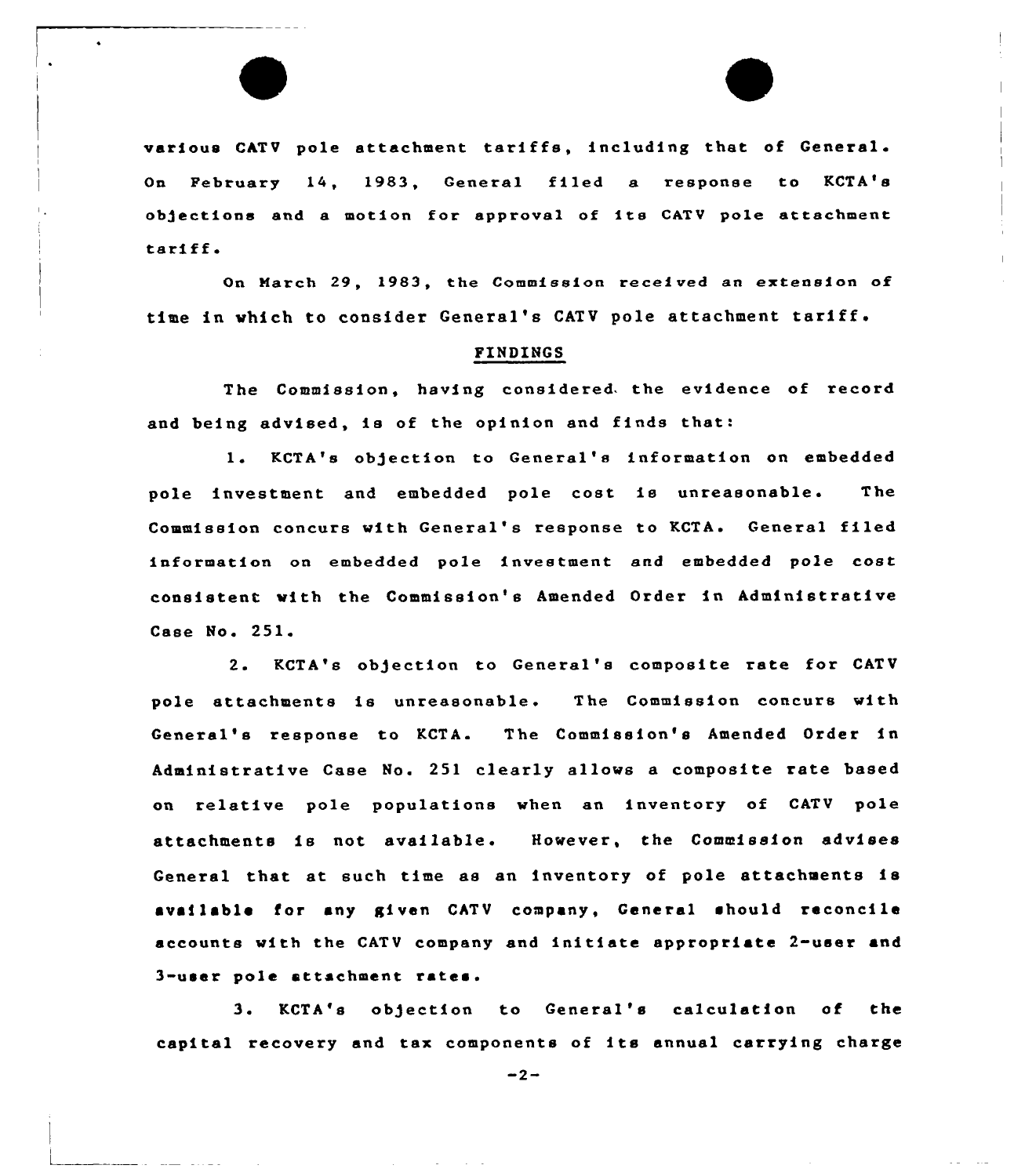various CATV pole attachment tariffs, including that of General. On February 14, 1983, General filed a response to KCTA's objections and <sup>a</sup> motion for approval of its CATV pole attachment tariff

On March 29, 1983, the Commission received an extension of time in which to consider General's CATV pole attachment tariff.

#### FINDINGS

The Commission, having considered. the evidence of record and being advised, ie of the opinion and finds that:

1. KCTA's objection to General's information on embedded pole investment and embedded pole cost ie unreasonable. The Commission concurs with General's response to KCTA. General filed information on embedded pole investment and embedded pole cost consistent with the Commission's Amended Order in Administrative Case No. 251.

2. KCTA'e objection to General'e composite rate for CATV pole attachments is unreasonable. The Commission concurs with General's response to KCTA. The Commission'e Amended Order in Administrative Case No. 251 clearly allows a composite rate based on relative pole populations when an inventory of CATV pole attachments is not available. However, the Commission advises General that at such time as an inventory of pole attachments is available for any given CATV company, General should reconcile accounts with the CATV company and initiate appropriate 2-user and 3-user pole attachment rates.

3 <sup>~</sup> KCTA's objection to General's calculation of the capital recovery and tax components of its annual carrying charge

 $-2-$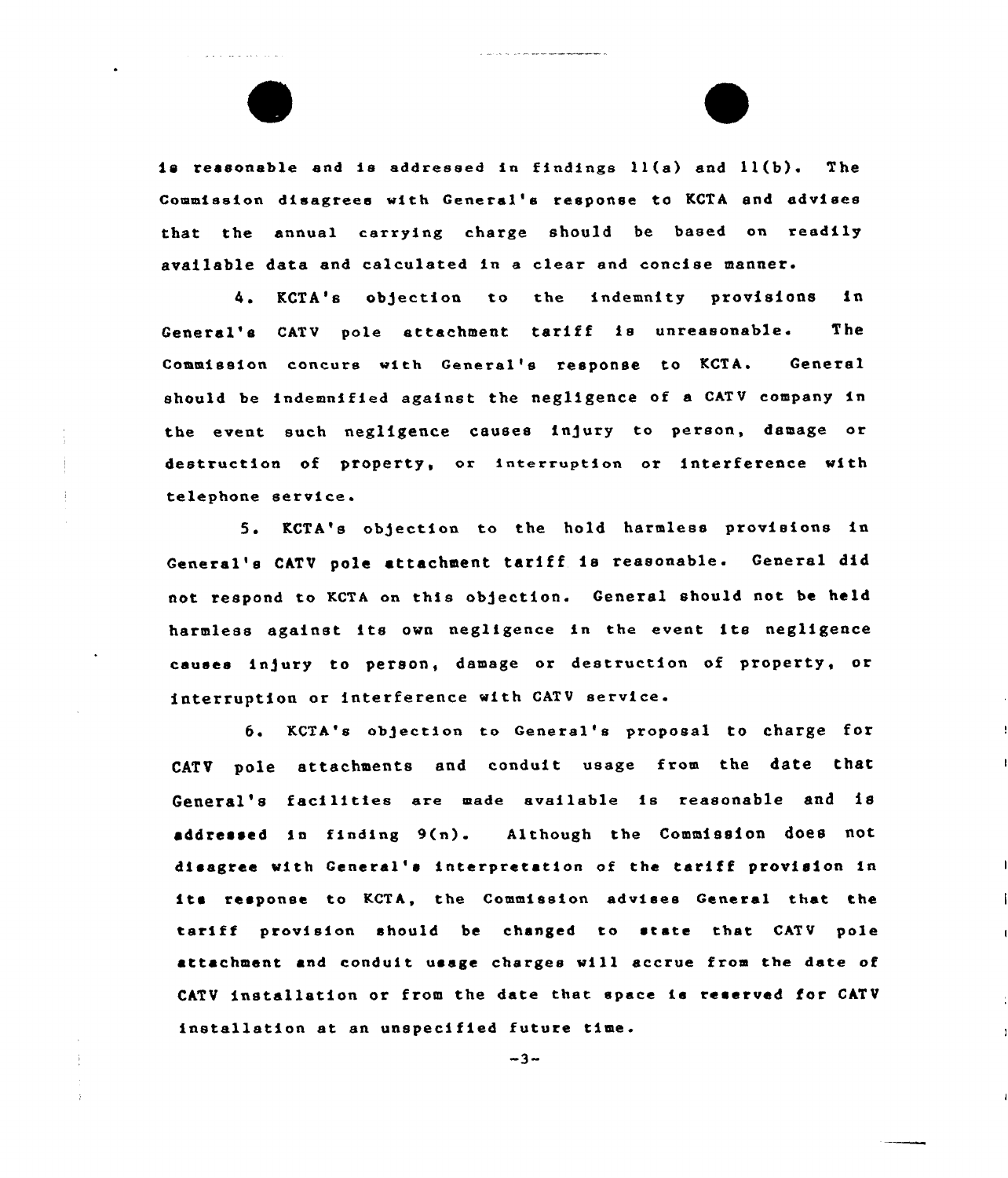is reasonable and is addressed in findings  $l1(a)$  and  $l1(b)$ . The Commission disagrees with General's response to KCTA and advises that the annual carrying charge should be based on readily available data and calculated in a clear and concise manner.

4. KCTA's objection to the indemnity provisions in General's CATV pole attachment tariff is unreasonable. The Commission concurs with General'e response to KCTA. General should be indemnified against the negligence of a CATV company in the event such neg1igence causes injury to person, damage ar destruction of property, or interruption or interference with telephone service

5. RCTA's objection ta the hold harmless provisions in General's CATV pole attachment tariff is reasonable. General did not respond to KCTA on this objection. General should not be held harmless against its own negligence in the event ite negligence causes injury to person, damage or destruction of property, or interruption or interference with CATV service.

6 <sup>~</sup> KCTA'e abjection ta General's proposal to charge for CATV pole attachments and conduit usage from the date that General's facilities ere made available is reasonable and is addressed in finding 9(n). Although the Commission does not disagree with General'e interpretation of the tariff provision in its response to KCTA, the Commission advises General that the tariff provision should be changed to state that CATV pole attachment and conduit usage charges will accrue from the date af CATV installation or from the date that space is reserved for CATV installation at an unspecified future time.

 $-3-$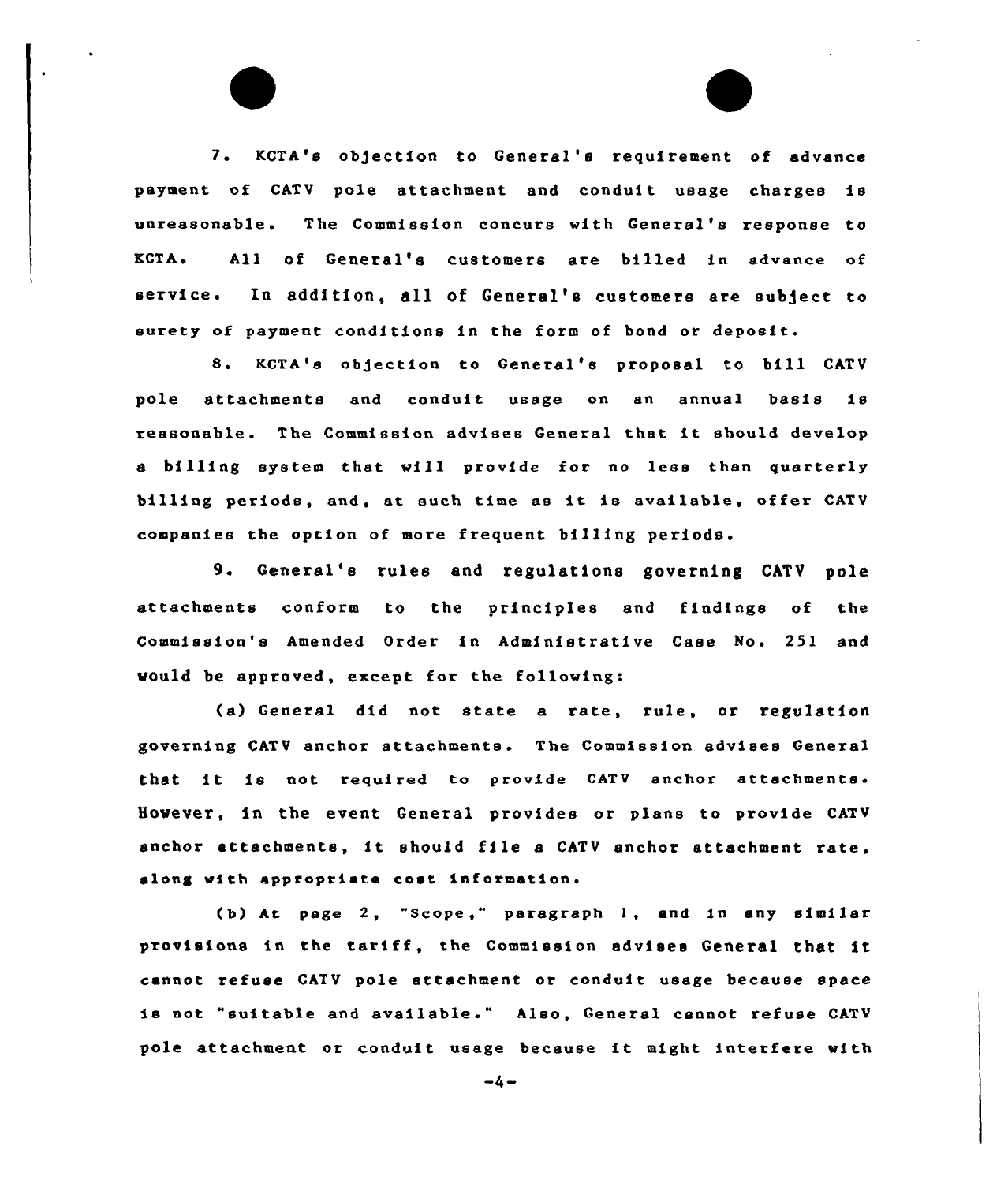7. KCTA's ob)ection to General 's requirement of advance payment of CATV pole attachment and conduit usage charges is unreasonable. The Commission concurs with General's response to KCTA. All of General's customers are billed in advance of service. In addition, all of General's customers are subject to surety of payment conditions in the form of bond or deposit.

8. KCTA's obgection to General's proposal to bill CATV pole attachments and conduit usage on en annual basis is reasonable. The Commission advises General that it should develop s billing system that will provide for no less than quarterly billing periods, and, at such time as it is available, offer CATU companies the option of more frequent billing periods'.

9. General's rules and regulations governing CATV pole attachments conform to the principles and findings of the Commission's Amended Order in Administrative Case No. 251 and vauld be approved, except for the following:

(a) General did not state a rate, rule, or regulation governing CATV anchor attachments. The Commission advises General that it is not required to provide CATV anchor attachments. However, in the event General provides or plans to provide CATU anchor attachments, it should file <sup>a</sup> CATV anchor attachment rate, along with appropriate cost information.

(b) At page 2, "Scope," paragraph 1, <mark>and in any simila</mark> provisions in the tariff, the Commission advises General that it cannot refuse CATV pole attachment or conduit usage because space is not "suitable and available." Also, General cannot refuse CATV pole attachment or conduit usage because it might interfere with

 $-4-$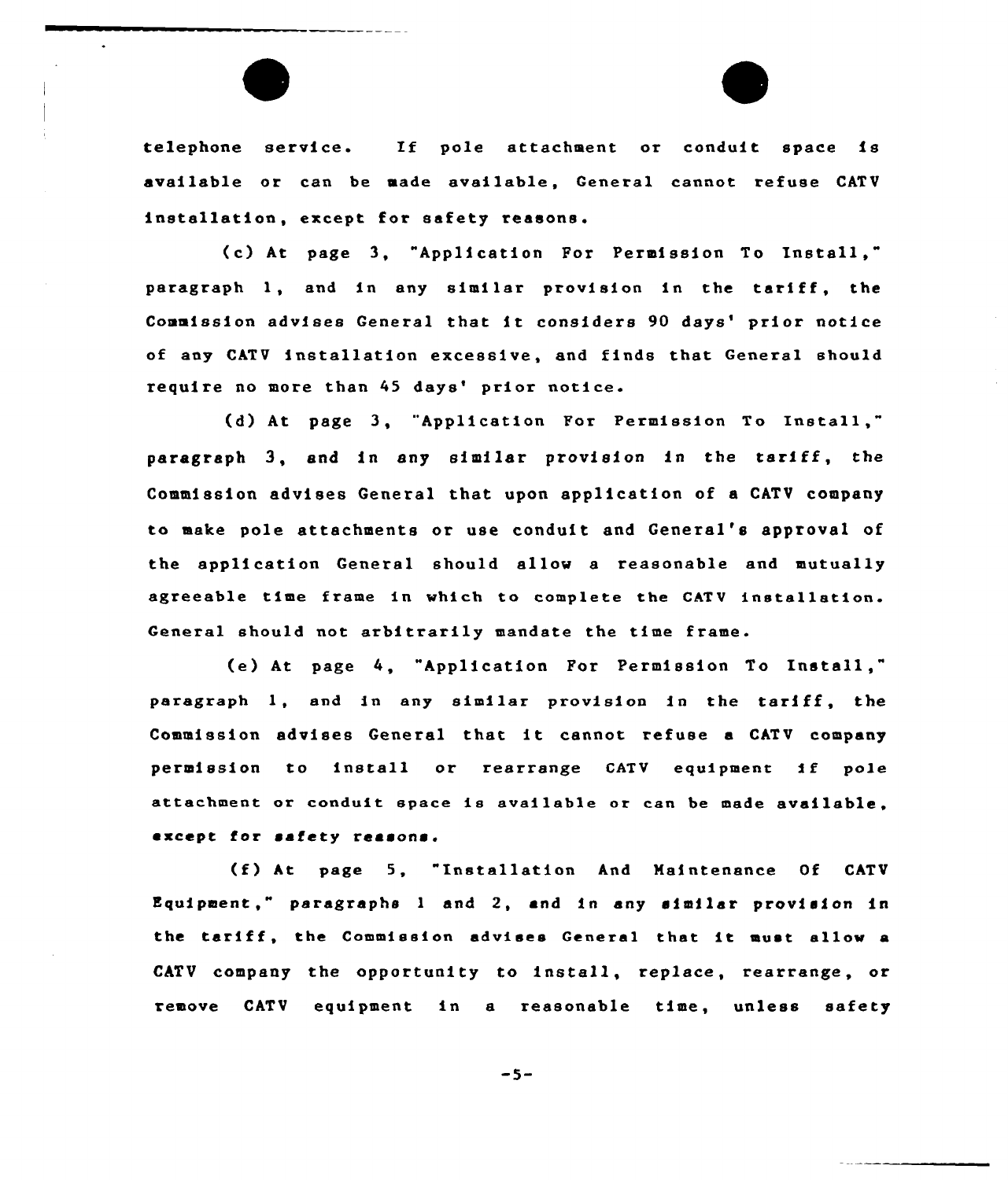telephone service. If pole attachment or conduit space is available or can be made available, General cannot refuse CATV installation, except for safety reasons.

{e) At page 3, "Application For Permission To Install," paragraph l, and in any similar provision in the tariff, the Commission advises General that it considers 90 days' prior notice of any CATV installation excessive, and finds that General should require no more than 45 days' prior notice.

(d) At page 3, "Application For Permission To Install," paragraph 3, snd in any similar provision in the tariff, the Commission advises General that upon application of a CATV company to mate pole attachments or use conduit and General's approval of the application General should allow a reasonable and mutually agreeable time frame in which to complete the CATV installation. General should not arbitrarily mandate the time frame.

(e) At page 4, "Application For Permission To Install," paragraph l, and in any similar provision in the tariff, the Commission advises General that it cannot refuse <sup>a</sup> CATV company permission to install or rearrange CATV equipment if pole attachment or conduit space is available or can be made available. except for safety reasons.

(f) At page 5, "Installation And Maintenance Of CATV Equipment," paragraphs <sup>1</sup> and 2, and in any similar provision in the tariff, the Commission advises General that it must allow <sup>a</sup> CATV company the opportunity to install, replace, rearrange, or remove CATV equipment in a reasonable time, unless safety

-5-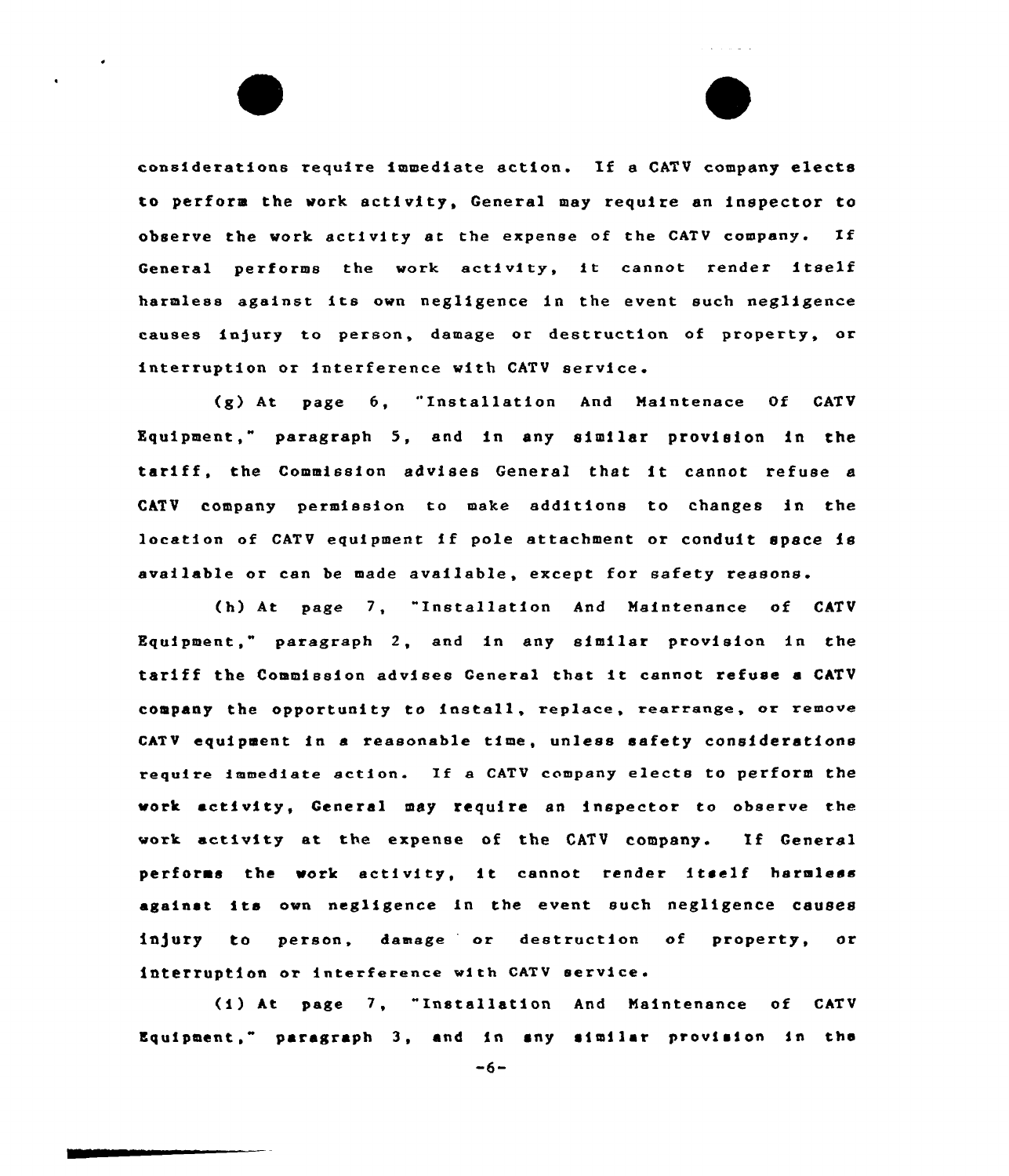considerations require immediate action. If <sup>a</sup> CATV company elects to perform the work activity, General may require an inspector to observe the work ectivity at the expenee of the CATV company. If General performs the work activity, it cannot render itself harmless against ite own negligence in the event such negligence causes injury to person, damage or destruction of property, or interruption or interference with CATV service.

 $\mathbf{v} \in \mathbb{R}^{n \times d}$  , we have  $\mathbf{v}$ 

(g) At page 6, "Installation And Maintenace Of CATV Equipment," paragraph 5, and in any similar provision in the tariff, the Commission advises General that it cannot refuse <sup>a</sup> CATV company permission to make additions to changes in the location of CATV equipment if pole attachment or conduit space is available or can be made available, except for safety reasons.

(h) At page 7, "Installation And Maintenance of CATV Equipment," paragraph 2, and in any similar provision in the tariff the Commission advisee General that it cannot refuse <sup>a</sup> CATV company the opportunity to install, replace, rearrange, or remove CATV equipment in a reasonable time, unless safety considerations require immediate action. If <sup>a</sup> CATV company elects to perform the work activity, General may require an inspector to observe the work activity at the expense of the CATV company. If General performs the work activity, it cannot render itself harmless against its own negligence in the event such negligence causes<br>injury to person, damage or destruction of property, or interruption or interference with CATV service

(i) At page 7, "Installation And Maintenance of CATV Equipment," paragraph 3, and in any similar provision in the

 $-6-$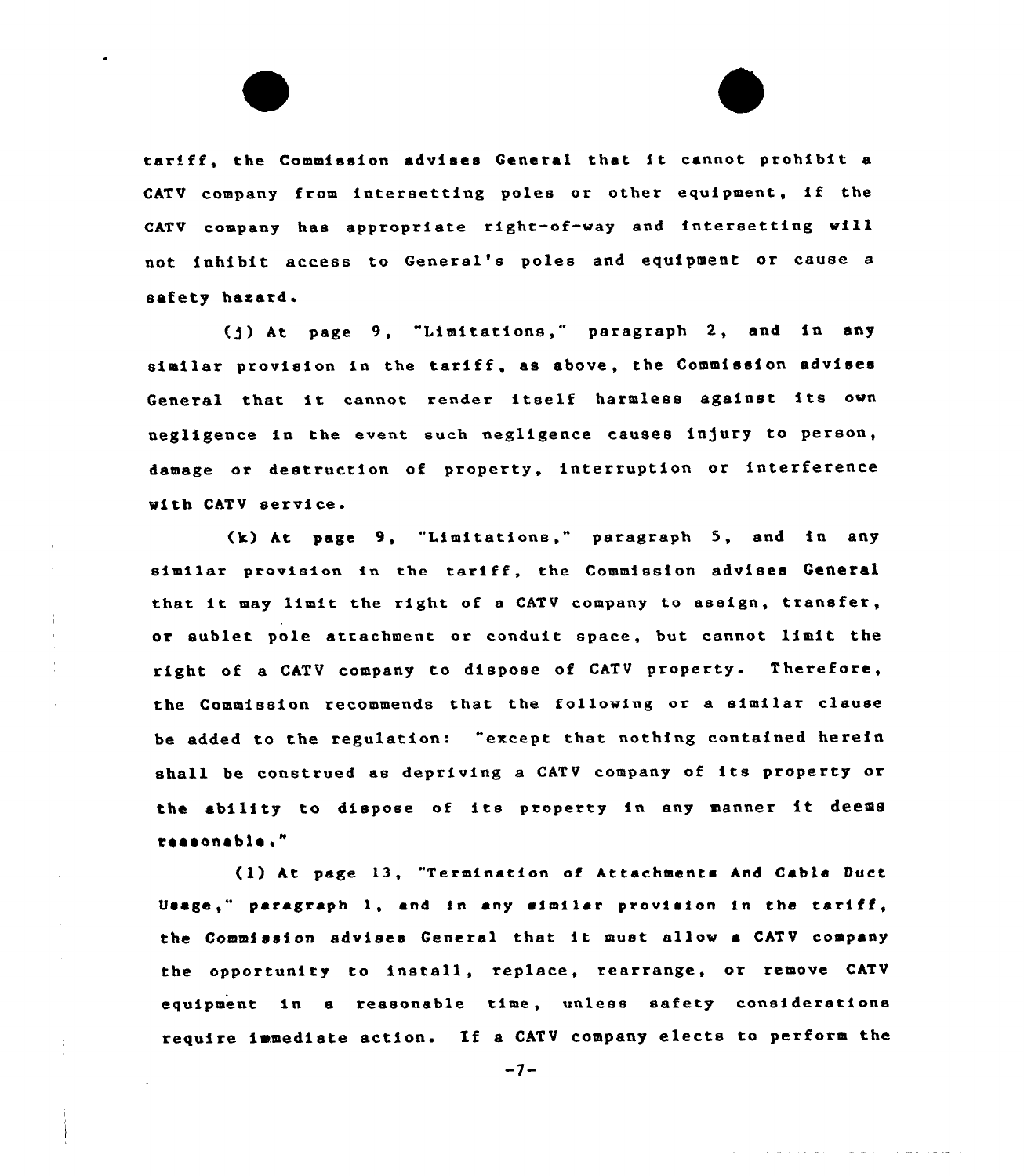tariff, the Commission advises General that it cannot prohibit a CATV company from intersetting poles or other equipment, if the CATV company has appropriate right-of-way and intersetting will not inhibit access to General's poles and equipment or cause a safety hazard.

(g) At page 9, "Limitations," paragraph 2, and in any similar provision in the tariff, as above, the Commission advises General that it cannot render itself harmless against its ovn negligence in the event such negligence causes ln]ury to person, damage or destruction of property, interruption or interference with CATV service.

(k) At page 9, "Limitations," paragraph 5, and in any similar provision in the tariff, the Commission advises General that it may limit the right of <sup>a</sup> CATV company to assign, transfer, or sublet pole attachment or conduit space, but cannot limit the right of <sup>a</sup> CATV company to dispose of CATV property. Therefore, the Commission recommends that the following or a similar clause be added to the regulation: "except that nothing contained herein shall be construed as depriving <sup>a</sup> CATV company of its property or the ability to dispose of its property in any manner it deems raasonable."

( 1) At page 13, "Termination ot Attachments And Cable Duct Usage," paragraph 1, and in any similar provision in the tariff, the Commission advises General that it must allow <sup>a</sup> CATV company the opportunity to install, replace, rearrange, or remove CATV equipment in a reasonable time, unless safety considerations require immediate action. If <sup>a</sup> CATV company elects to perform the

 $-7-$ 

والمتساط المتعاون والمتحدث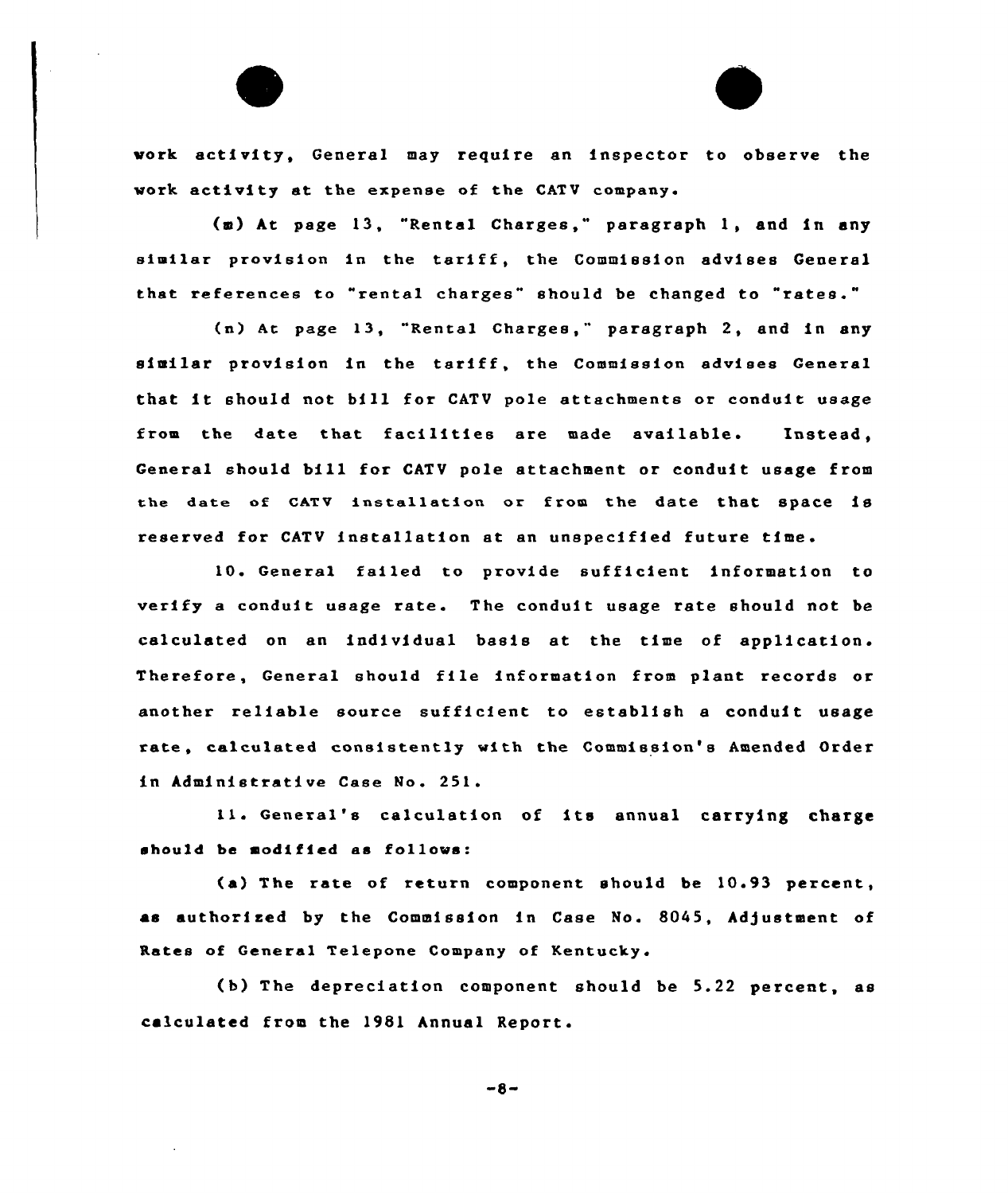work activity, General may require an inspector to observe the work activity at the expense of the CATV company.

(m) At page 13, "Rental Charges," paragraph 1, and in any similar provision in the tariff, the Commission advises General that references to "rental charges" should be changed to "rates."

(n) At page 13, "Rental Charges," paragraph 2, and in any similar provision in the tariff, the Commission advises General that it should not bill for CATV pole attachments or conduit usage from the date that facilities are made available. Instead, General should bill for CATV pole attachment or conduit usage from the date of CATV installation or from the date that space is reserved for CATV installation at an unspecified future time.

10. General failed to provide sufficient information to verify <sup>a</sup> conduit usage rate. The conduit usage rate should not be calculated on an individual basis at the time of application. Therefore, General should file information from plant records or another reliable source sufficient to establish a conduit usage rate, calculated consistently with the Commission's Amended Order in Administrative Case No. 251.

11. General's calculation of its annual carrying charge should be modified as follows:

(a) The rate of return component should be 10.93 percent, as authorised by the Commission in Case No. 8045, Adjustment of Rates of General Telepone Company of Kentucky.

(b) The depreciation component should be 5.22 percent, as calculated from the 1981 Annual Report.

 $-8-$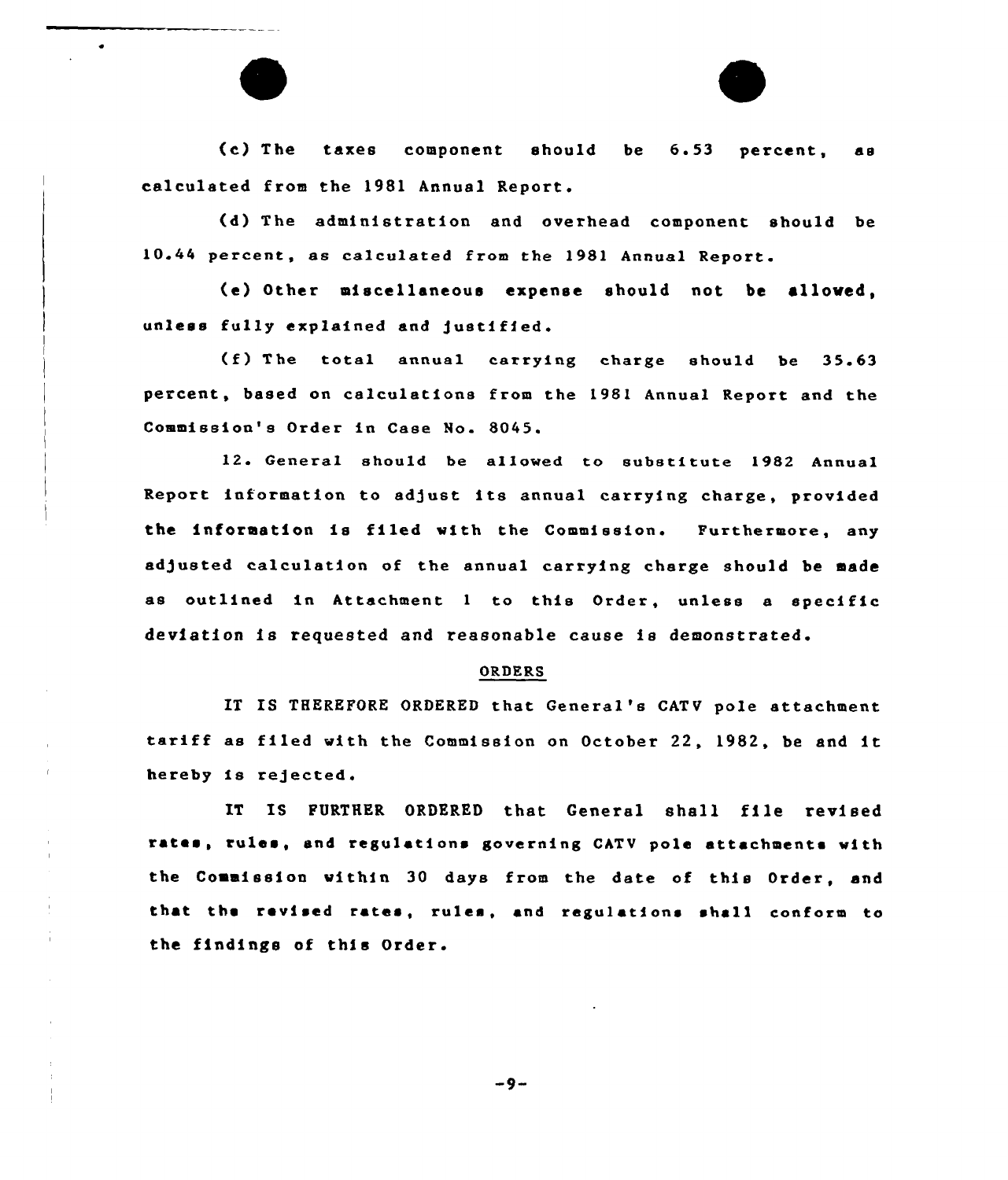(c) The taxes component should be 6.53 percent, as calculated from the 1981 Annual Report.

(d) The administration and overhead component should be 10.44 percent, as calculated from the 1981 Annual Report.

(e) Other miscellaneous expense should not be allowed, unless fully explained and justified.

{f) The total annual carrying charge should be 35.63 percent, based on calculations from the 1981 Annual Report and the Commission's Order in Case No. 8045.

12. General should be allowed to substitute 1982 Annual Report information to adjust its annual carrying charge, provided the information is filed with the Commission. Furthermore, any adjusted calculation of the annual carrying charge should be made as outlined in Attachment <sup>1</sup> to this Order, unless a specific deviation is requested and reasonable cause is demonstrated

#### ORDERS

IT IS THEREFORE ORDERED that General's CATV pole attachment tariff as filed with the Commission on October 22, 1982, be and it hereby is rejected.

IT IS FURTHER ORDERED that General shall file revised rates, rules, «nd rcgulatione governing CATV pole attachments with the Commission within 30 days from the date of this Order, and that the revised rates, rules, and regulations shell conform to the findings of this Order.

-9-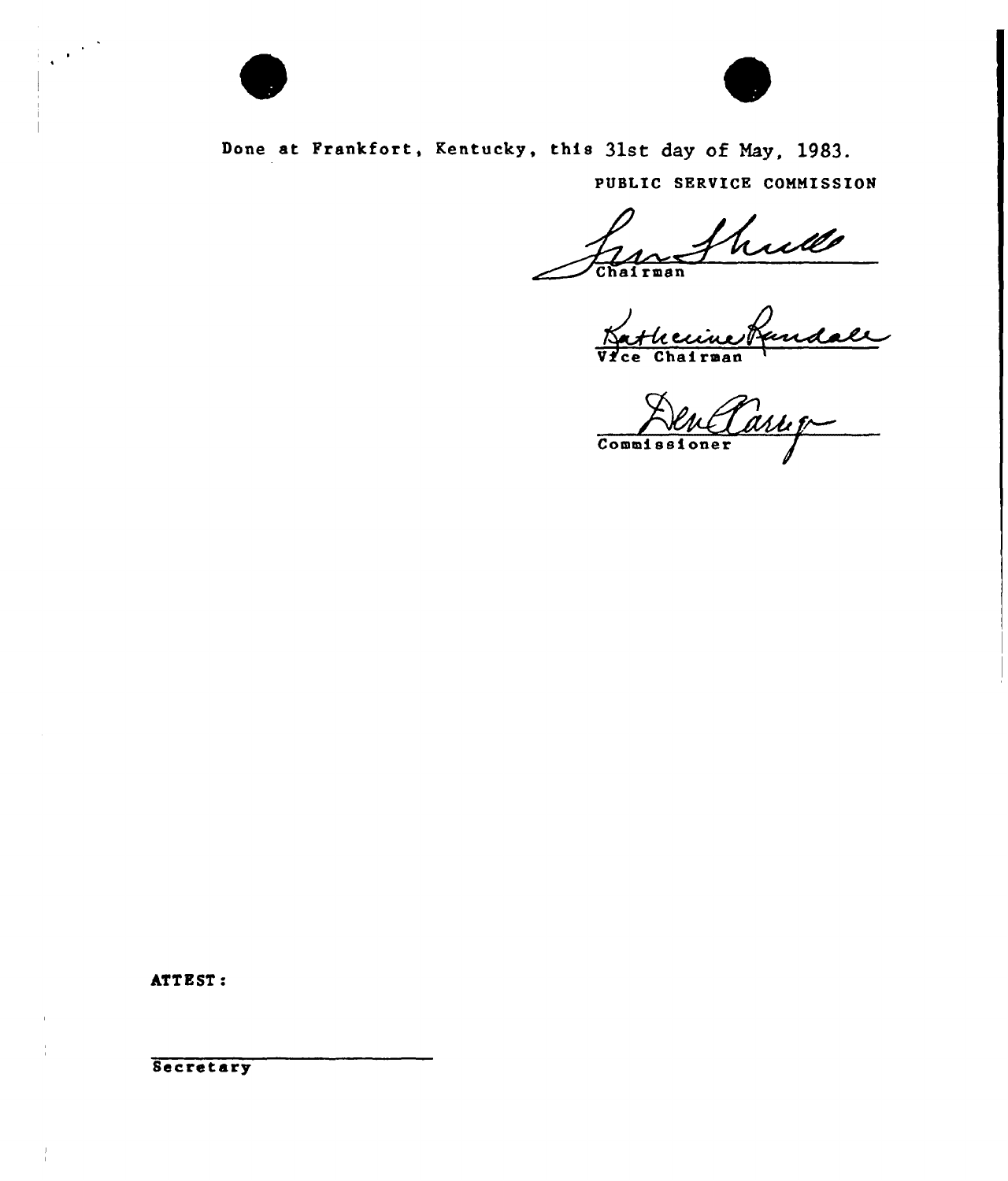

 $\mathbb{R}^{1\times 2}$ 



Done at Frankfort, Kentucky, this 31st day of May, 1983. PUBLIC SERVICE COMMISSION

hude of i rman

Vatheuine Randale

Den Parup

ATTEST:

Secretary

 $\frac{1}{1}$